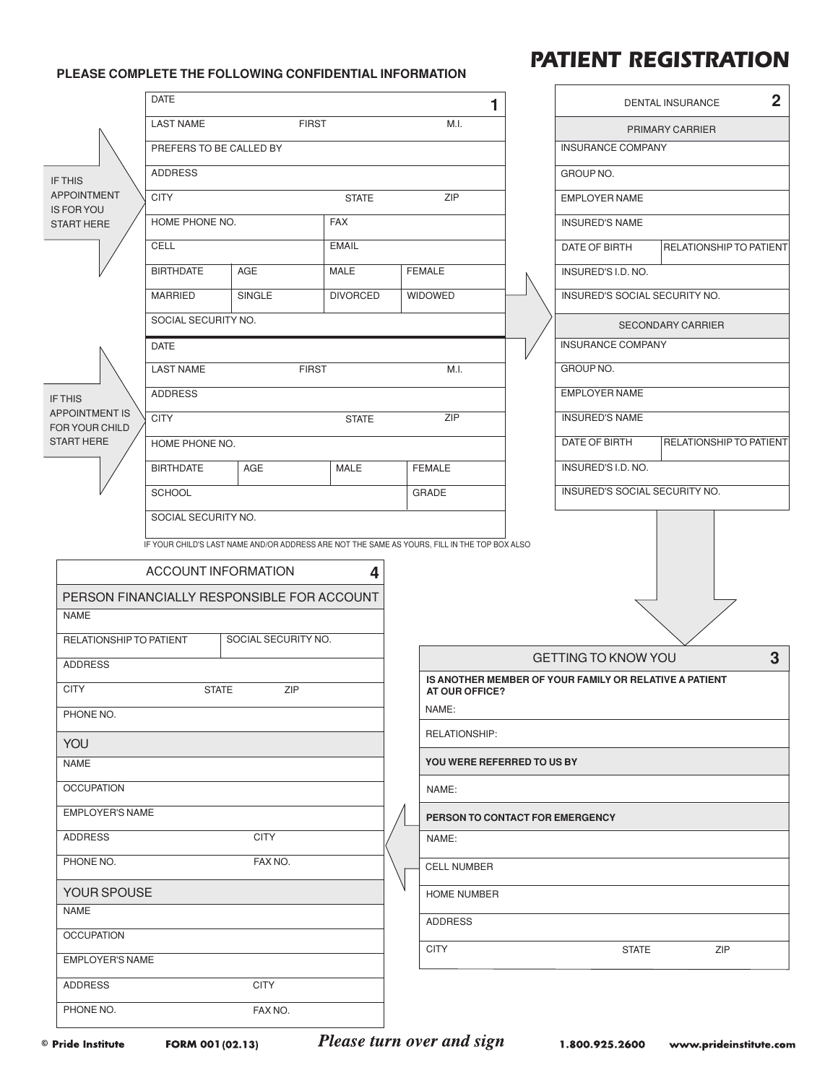## **PLEASE COMPLETE THE FOLLOWING CONFIDENTIAL INFORMATION**

## *PATIENT REGISTRATION*

|                                                                         | <b>DATE</b>                      |                                                                                              |                 |                    | $\blacksquare$                                                           |       | $\overline{2}$<br>DENTAL INSURANCE |                                |   |  |  |
|-------------------------------------------------------------------------|----------------------------------|----------------------------------------------------------------------------------------------|-----------------|--------------------|--------------------------------------------------------------------------|-------|------------------------------------|--------------------------------|---|--|--|
|                                                                         | <b>LAST NAME</b><br><b>FIRST</b> |                                                                                              |                 | M.I.               |                                                                          |       | PRIMARY CARRIER                    |                                |   |  |  |
|                                                                         | PREFERS TO BE CALLED BY          |                                                                                              |                 |                    |                                                                          |       | <b>INSURANCE COMPANY</b>           |                                |   |  |  |
| IF THIS                                                                 | <b>ADDRESS</b>                   |                                                                                              |                 |                    |                                                                          |       | GROUP NO.                          |                                |   |  |  |
| <b>APPOINTMENT</b><br><b>IS FOR YOU</b>                                 | <b>CITY</b><br><b>STATE</b>      |                                                                                              |                 |                    | ZIP<br><b>EMPLOYER NAME</b>                                              |       |                                    |                                |   |  |  |
| <b>START HERE</b>                                                       | HOME PHONE NO.<br><b>FAX</b>     |                                                                                              |                 |                    |                                                                          |       | <b>INSURED'S NAME</b>              |                                |   |  |  |
|                                                                         | CELL<br><b>EMAIL</b>             |                                                                                              |                 |                    |                                                                          |       | DATE OF BIRTH                      | RELATIONSHIP TO PATIENT        |   |  |  |
|                                                                         | <b>BIRTHDATE</b>                 | <b>AGE</b>                                                                                   | MALE            |                    | <b>FEMALE</b>                                                            |       | INSURED'S I.D. NO.                 |                                |   |  |  |
|                                                                         | <b>MARRIED</b>                   | SINGLE                                                                                       | <b>DIVORCED</b> |                    | <b>WIDOWED</b>                                                           |       | INSURED'S SOCIAL SECURITY NO.      |                                |   |  |  |
| IF THIS<br><b>APPOINTMENT IS</b><br>FOR YOUR CHILD<br><b>START HERE</b> | SOCIAL SECURITY NO.              |                                                                                              |                 |                    |                                                                          |       |                                    | <b>SECONDARY CARRIER</b>       |   |  |  |
|                                                                         | <b>DATE</b>                      |                                                                                              |                 |                    |                                                                          |       | <b>INSURANCE COMPANY</b>           |                                |   |  |  |
|                                                                         | <b>LAST NAME</b><br><b>FIRST</b> |                                                                                              |                 |                    | M.I.                                                                     |       | GROUP NO.                          |                                |   |  |  |
|                                                                         | <b>ADDRESS</b>                   |                                                                                              |                 |                    |                                                                          |       | <b>EMPLOYER NAME</b>               |                                |   |  |  |
|                                                                         | <b>CITY</b><br><b>STATE</b>      |                                                                                              |                 |                    | ZIP                                                                      |       | <b>INSURED'S NAME</b>              |                                |   |  |  |
|                                                                         | HOME PHONE NO.                   |                                                                                              |                 |                    |                                                                          |       | DATE OF BIRTH                      | <b>RELATIONSHIP TO PATIENT</b> |   |  |  |
|                                                                         | <b>BIRTHDATE</b>                 | AGE                                                                                          | MALE            |                    | <b>FEMALE</b>                                                            |       | INSURED'S I.D. NO.                 |                                |   |  |  |
|                                                                         | <b>SCHOOL</b>                    |                                                                                              |                 |                    | <b>GRADE</b>                                                             |       | INSURED'S SOCIAL SECURITY NO.      |                                |   |  |  |
|                                                                         | SOCIAL SECURITY NO.              |                                                                                              |                 |                    |                                                                          |       |                                    |                                |   |  |  |
|                                                                         |                                  | IF YOUR CHILD'S LAST NAME AND/OR ADDRESS ARE NOT THE SAME AS YOURS, FILL IN THE TOP BOX ALSO |                 |                    |                                                                          |       |                                    |                                |   |  |  |
|                                                                         | <b>ACCOUNT INFORMATION</b>       |                                                                                              | 4               |                    |                                                                          |       |                                    |                                |   |  |  |
| PERSON FINANCIALLY RESPONSIBLE FOR ACCOUNT                              |                                  |                                                                                              |                 |                    |                                                                          |       |                                    |                                |   |  |  |
| <b>NAME</b>                                                             |                                  |                                                                                              |                 |                    |                                                                          |       |                                    |                                |   |  |  |
| RELATIONSHIP TO PATIENT                                                 |                                  | SOCIAL SECURITY NO.                                                                          |                 |                    |                                                                          |       |                                    |                                |   |  |  |
| <b>ADDRESS</b>                                                          |                                  |                                                                                              |                 |                    |                                                                          |       | <b>GETTING TO KNOW YOU</b>         |                                | 3 |  |  |
| <b>CITY</b>                                                             | ZIP<br><b>STATE</b>              |                                                                                              |                 |                    | IS ANOTHER MEMBER OF YOUR FAMILY OR RELATIVE A PATIENT<br>AT OUR OFFICE? |       |                                    |                                |   |  |  |
| PHONE NO.                                                               |                                  |                                                                                              |                 |                    |                                                                          | NAME: |                                    |                                |   |  |  |
| YOU                                                                     |                                  |                                                                                              |                 |                    | RELATIONSHIP:                                                            |       |                                    |                                |   |  |  |
| <b>NAME</b>                                                             |                                  |                                                                                              |                 |                    | YOU WERE REFERRED TO US BY                                               |       |                                    |                                |   |  |  |
| <b>OCCUPATION</b>                                                       |                                  |                                                                                              |                 |                    | NAME:                                                                    |       |                                    |                                |   |  |  |
|                                                                         | <b>EMPLOYER'S NAME</b>           |                                                                                              |                 |                    | PERSON TO CONTACT FOR EMERGENCY                                          |       |                                    |                                |   |  |  |
| ADDRESS<br><b>CITY</b>                                                  |                                  |                                                                                              |                 | NAME:              |                                                                          |       |                                    |                                |   |  |  |
| PHONE NO.<br>FAX NO.                                                    |                                  |                                                                                              |                 | <b>CELL NUMBER</b> |                                                                          |       |                                    |                                |   |  |  |
| YOUR SPOUSE                                                             |                                  |                                                                                              |                 | <b>HOME NUMBER</b> |                                                                          |       |                                    |                                |   |  |  |
| <b>NAME</b>                                                             |                                  |                                                                                              |                 |                    | <b>ADDRESS</b>                                                           |       |                                    |                                |   |  |  |
| <b>OCCUPATION</b>                                                       |                                  |                                                                                              |                 |                    | <b>CITY</b>                                                              |       | <b>STATE</b>                       | ZIP                            |   |  |  |
|                                                                         | <b>EMPLOYER'S NAME</b>           |                                                                                              |                 |                    |                                                                          |       |                                    |                                |   |  |  |
| ADDRESS                                                                 |                                  | <b>CITY</b>                                                                                  |                 |                    |                                                                          |       |                                    |                                |   |  |  |
| PHONE NO.                                                               |                                  | FAX NO.                                                                                      |                 |                    |                                                                          |       |                                    |                                |   |  |  |

**Please turn over and sign**